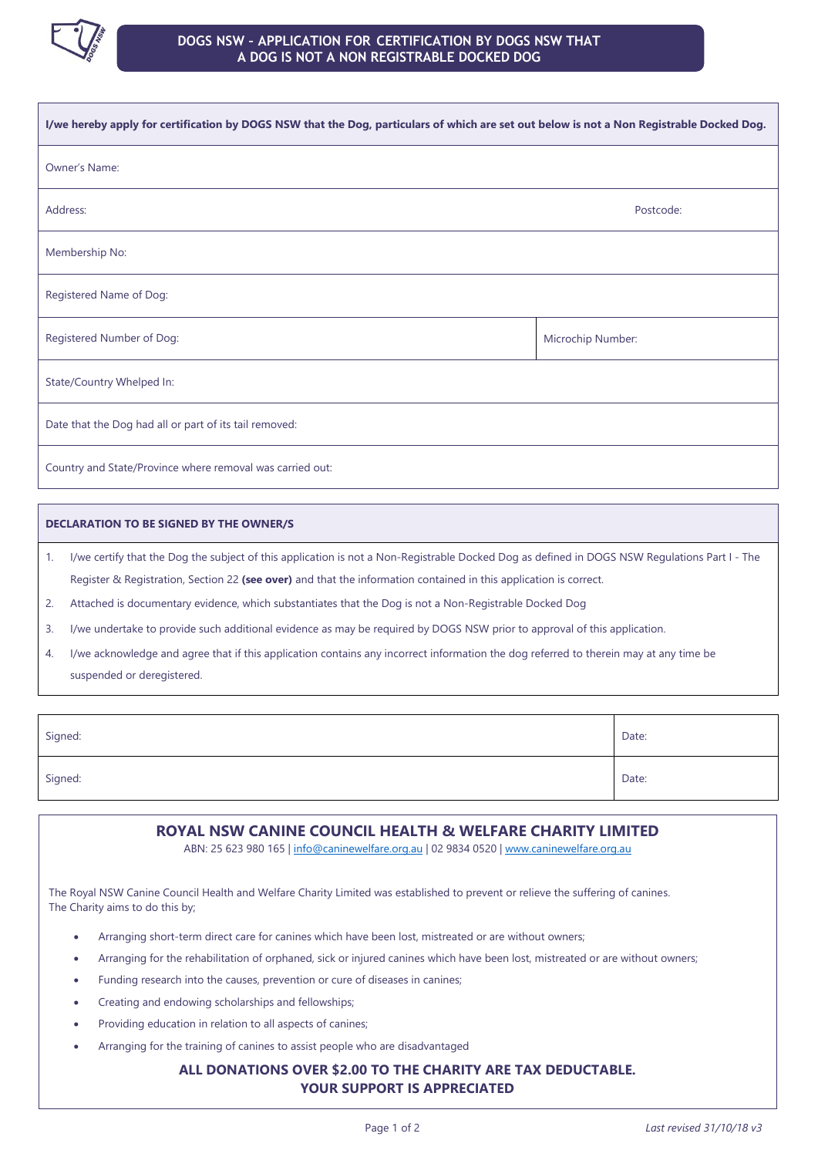

# **DOGS NSW – APPLICATION FOR CERTIFICATION BY DOGS NSW THAT A DOG IS NOT A NON REGISTRABLE DOCKED DOG**

| I/we hereby apply for certification by DOGS NSW that the Dog, particulars of which are set out below is not a Non Registrable Docked Dog. |                   |
|-------------------------------------------------------------------------------------------------------------------------------------------|-------------------|
| Owner's Name:                                                                                                                             |                   |
| Address:                                                                                                                                  | Postcode:         |
| Membership No:                                                                                                                            |                   |
| Registered Name of Dog:                                                                                                                   |                   |
| Registered Number of Dog:                                                                                                                 | Microchip Number: |
| State/Country Whelped In:                                                                                                                 |                   |
| Date that the Dog had all or part of its tail removed:                                                                                    |                   |
| Country and State/Province where removal was carried out:                                                                                 |                   |

## **DECLARATION TO BE SIGNED BY THE OWNER/S**

1. I/we certify that the Dog the subject of this application is not a Non-Registrable Docked Dog as defined in DOGS NSW Regulations Part I - The Register & Registration, Section 22 **(see over)** and that the information contained in this application is correct.

2. Attached is documentary evidence, which substantiates that the Dog is not a Non-Registrable Docked Dog

3. I/we undertake to provide such additional evidence as may be required by DOGS NSW prior to approval of this application.

4. I/we acknowledge and agree that if this application contains any incorrect information the dog referred to therein may at any time be suspended or deregistered.

| Signed: | Date: |
|---------|-------|
| Signed: | Date: |

## **ROYAL NSW CANINE COUNCIL HEALTH & WELFARE CHARITY LIMITED**

ABN: 25 623 980 165 | [info@caninewelfare.org.au](mailto:info@caninewelfare.org.au) | 02 9834 0520 | [www.caninewelfare.org.au](http://www.caninewelfare.org.au/)

The Royal NSW Canine Council Health and Welfare Charity Limited was established to prevent or relieve the suffering of canines. The Charity aims to do this by;

- Arranging short-term direct care for canines which have been lost, mistreated or are without owners;
- Arranging for the rehabilitation of orphaned, sick or injured canines which have been lost, mistreated or are without owners;
- Funding research into the causes, prevention or cure of diseases in canines;
- Creating and endowing scholarships and fellowships;
- Providing education in relation to all aspects of canines;
- Arranging for the training of canines to assist people who are disadvantaged

# **ALL DONATIONS OVER \$2.00 TO THE CHARITY ARE TAX DEDUCTABLE. YOUR SUPPORT IS APPRECIATED**